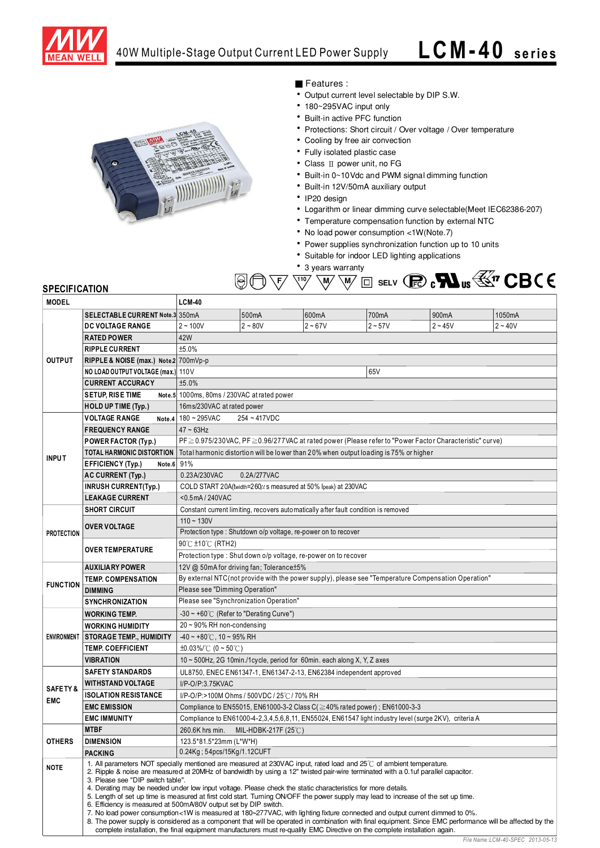

# 40W Multiple-Stage Output Current LED Power Supply **LC M -40 se rie s**

 $\textcircled{\tiny{\textcircled{\tiny{R}}}}$ 



- Features:
- Output current level selectable by DIP S.W.
- 180~295VAC input only
- Built-in active PFC function
- Protections: Short circuit / Over voltage / Over temperature
- Cooling by free air convection
- Fully isolated plastic case
- Class II power unit, no FG
- Built-in 0~10 Vdc and PWM signal dimming function
- · Built-in 12V/50mA auxiliary output
- IP20 design
- Logarithm or linear dimming curve selectable(Meet IEC62386-207)
- Temperature compensation function by external NTC
- No load power consumption <1W(Note.7)
- Power supplies synchronization function up to 10 units
- Suitable for indoor LED lighting applications
- 3 years warranty  $\overline{\text{V}^{\text{F}}\text{V}^{\text{W}}\text{V}^{\text{W}}\text{W}}$  of selv  $\text{E}$  (  $\text{N}$  is  $\overline{\text{W}}$   $\text{C}$   $\text{C}$   $\text{C}$

### **SPECIFICATION**

| <b>MODEL</b>       |                                                                                                                                                                                                                                                                                                                                                                                                                                                                                                                                                                                                                                                                                                                                                                                                                                                                                                                                                                                                                                                         | <b>LCM-40</b>                                                              |                                                                                                          |           |           |           |           |  |  |  |  |  |  |
|--------------------|---------------------------------------------------------------------------------------------------------------------------------------------------------------------------------------------------------------------------------------------------------------------------------------------------------------------------------------------------------------------------------------------------------------------------------------------------------------------------------------------------------------------------------------------------------------------------------------------------------------------------------------------------------------------------------------------------------------------------------------------------------------------------------------------------------------------------------------------------------------------------------------------------------------------------------------------------------------------------------------------------------------------------------------------------------|----------------------------------------------------------------------------|----------------------------------------------------------------------------------------------------------|-----------|-----------|-----------|-----------|--|--|--|--|--|--|
|                    | <b>SELECTABLE CURRENT Note.3 350mA</b>                                                                                                                                                                                                                                                                                                                                                                                                                                                                                                                                                                                                                                                                                                                                                                                                                                                                                                                                                                                                                  |                                                                            | 500mA                                                                                                    | 600mA     | 700mA     | 900mA     | 1050mA    |  |  |  |  |  |  |
|                    | DC VOLTAGE RANGE                                                                                                                                                                                                                                                                                                                                                                                                                                                                                                                                                                                                                                                                                                                                                                                                                                                                                                                                                                                                                                        | $2 - 100V$                                                                 | $2 - 80V$                                                                                                | $2 - 67V$ | $2 - 57V$ | $2 - 45V$ | $2 - 40V$ |  |  |  |  |  |  |
|                    | <b>RATED POWER</b>                                                                                                                                                                                                                                                                                                                                                                                                                                                                                                                                                                                                                                                                                                                                                                                                                                                                                                                                                                                                                                      | 42W                                                                        |                                                                                                          |           |           |           |           |  |  |  |  |  |  |
|                    | <b>RIPPLE CURRENT</b>                                                                                                                                                                                                                                                                                                                                                                                                                                                                                                                                                                                                                                                                                                                                                                                                                                                                                                                                                                                                                                   | ±5.0%                                                                      |                                                                                                          |           |           |           |           |  |  |  |  |  |  |
| <b>OUTPUT</b>      | RIPPLE & NOISE (max.) Note 2 700mVp-p                                                                                                                                                                                                                                                                                                                                                                                                                                                                                                                                                                                                                                                                                                                                                                                                                                                                                                                                                                                                                   |                                                                            |                                                                                                          |           |           |           |           |  |  |  |  |  |  |
|                    | NO LOAD OUTPUT VOLTAGE (max.) 110V                                                                                                                                                                                                                                                                                                                                                                                                                                                                                                                                                                                                                                                                                                                                                                                                                                                                                                                                                                                                                      |                                                                            |                                                                                                          |           | 65V       |           |           |  |  |  |  |  |  |
|                    | <b>CURRENT ACCURACY</b>                                                                                                                                                                                                                                                                                                                                                                                                                                                                                                                                                                                                                                                                                                                                                                                                                                                                                                                                                                                                                                 | ±5.0%                                                                      |                                                                                                          |           |           |           |           |  |  |  |  |  |  |
|                    | <b>SETUP, RISE TIME</b>                                                                                                                                                                                                                                                                                                                                                                                                                                                                                                                                                                                                                                                                                                                                                                                                                                                                                                                                                                                                                                 | Note.5 1000ms, 80ms / 230VAC at rated power                                |                                                                                                          |           |           |           |           |  |  |  |  |  |  |
|                    | <b>HOLD UP TIME (Typ.)</b>                                                                                                                                                                                                                                                                                                                                                                                                                                                                                                                                                                                                                                                                                                                                                                                                                                                                                                                                                                                                                              | 16ms/230VAC at rated power                                                 |                                                                                                          |           |           |           |           |  |  |  |  |  |  |
|                    | <b>VOLTAGE RANGE</b>                                                                                                                                                                                                                                                                                                                                                                                                                                                                                                                                                                                                                                                                                                                                                                                                                                                                                                                                                                                                                                    | Note.4   180 ~ 295VAC                                                      | $254 - 417VDC$                                                                                           |           |           |           |           |  |  |  |  |  |  |
|                    | <b>FREQUENCY RANGE</b>                                                                                                                                                                                                                                                                                                                                                                                                                                                                                                                                                                                                                                                                                                                                                                                                                                                                                                                                                                                                                                  | $47 \sim 63$ Hz                                                            |                                                                                                          |           |           |           |           |  |  |  |  |  |  |
|                    | <b>POWER FACTOR (Typ.)</b>                                                                                                                                                                                                                                                                                                                                                                                                                                                                                                                                                                                                                                                                                                                                                                                                                                                                                                                                                                                                                              |                                                                            | PF ≥ 0.975/230VAC, PF ≥ 0.96/277VAC at rated power (Please refer to "Power Factor Characteristic" curve) |           |           |           |           |  |  |  |  |  |  |
|                    | TOTAL HARMONIC DISTORTION                                                                                                                                                                                                                                                                                                                                                                                                                                                                                                                                                                                                                                                                                                                                                                                                                                                                                                                                                                                                                               |                                                                            | Total harmonic distortion will be lower than 20% when output loading is 75% or higher                    |           |           |           |           |  |  |  |  |  |  |
| <b>INPUT</b>       | Note.6 91%<br><b>EFFICIENCY (Typ.)</b>                                                                                                                                                                                                                                                                                                                                                                                                                                                                                                                                                                                                                                                                                                                                                                                                                                                                                                                                                                                                                  |                                                                            |                                                                                                          |           |           |           |           |  |  |  |  |  |  |
|                    | AC CURRENT (Typ.)                                                                                                                                                                                                                                                                                                                                                                                                                                                                                                                                                                                                                                                                                                                                                                                                                                                                                                                                                                                                                                       | 0.23A/230VAC                                                               | 0.2A/277VAC                                                                                              |           |           |           |           |  |  |  |  |  |  |
|                    | <b>INRUSH CURRENT(Typ.)</b>                                                                                                                                                                                                                                                                                                                                                                                                                                                                                                                                                                                                                                                                                                                                                                                                                                                                                                                                                                                                                             |                                                                            | COLD START 20A(twidth= $260\mu$ s measured at 50% Ipeak) at 230VAC                                       |           |           |           |           |  |  |  |  |  |  |
|                    | <b>LEAKAGE CURRENT</b>                                                                                                                                                                                                                                                                                                                                                                                                                                                                                                                                                                                                                                                                                                                                                                                                                                                                                                                                                                                                                                  | <0.5mA/240VAC                                                              |                                                                                                          |           |           |           |           |  |  |  |  |  |  |
|                    | <b>SHORT CIRCUIT</b>                                                                                                                                                                                                                                                                                                                                                                                                                                                                                                                                                                                                                                                                                                                                                                                                                                                                                                                                                                                                                                    |                                                                            | Constant current limiting, recovers automatically after fault condition is removed                       |           |           |           |           |  |  |  |  |  |  |
|                    |                                                                                                                                                                                                                                                                                                                                                                                                                                                                                                                                                                                                                                                                                                                                                                                                                                                                                                                                                                                                                                                         | $110 - 130V$                                                               |                                                                                                          |           |           |           |           |  |  |  |  |  |  |
| <b>PROTECTION</b>  | <b>OVER VOLTAGE</b>                                                                                                                                                                                                                                                                                                                                                                                                                                                                                                                                                                                                                                                                                                                                                                                                                                                                                                                                                                                                                                     |                                                                            | Protection type : Shutdown o/p voltage, re-power on to recover                                           |           |           |           |           |  |  |  |  |  |  |
|                    | <b>OVER TEMPERATURE</b>                                                                                                                                                                                                                                                                                                                                                                                                                                                                                                                                                                                                                                                                                                                                                                                                                                                                                                                                                                                                                                 | 90°C ±10°C (RTH2)                                                          |                                                                                                          |           |           |           |           |  |  |  |  |  |  |
|                    |                                                                                                                                                                                                                                                                                                                                                                                                                                                                                                                                                                                                                                                                                                                                                                                                                                                                                                                                                                                                                                                         | Protection type: Shut down o/p voltage, re-power on to recover             |                                                                                                          |           |           |           |           |  |  |  |  |  |  |
|                    | <b>AUXILIARY POWER</b>                                                                                                                                                                                                                                                                                                                                                                                                                                                                                                                                                                                                                                                                                                                                                                                                                                                                                                                                                                                                                                  |                                                                            | 12V @ 50mA for driving fan; Tolerance±5%                                                                 |           |           |           |           |  |  |  |  |  |  |
| <b>FUNCTION</b>    | <b>TEMP. COMPENSATION</b>                                                                                                                                                                                                                                                                                                                                                                                                                                                                                                                                                                                                                                                                                                                                                                                                                                                                                                                                                                                                                               |                                                                            | By external NTC (not provide with the power supply), please see "Temperature Compensation Operation"     |           |           |           |           |  |  |  |  |  |  |
|                    | <b>DIMMING</b>                                                                                                                                                                                                                                                                                                                                                                                                                                                                                                                                                                                                                                                                                                                                                                                                                                                                                                                                                                                                                                          | Please see "Dimming Operation"                                             |                                                                                                          |           |           |           |           |  |  |  |  |  |  |
|                    | <b>SYNCHRONIZATION</b>                                                                                                                                                                                                                                                                                                                                                                                                                                                                                                                                                                                                                                                                                                                                                                                                                                                                                                                                                                                                                                  | Please see "Synchronization Operation"                                     |                                                                                                          |           |           |           |           |  |  |  |  |  |  |
|                    | <b>WORKING TEMP.</b>                                                                                                                                                                                                                                                                                                                                                                                                                                                                                                                                                                                                                                                                                                                                                                                                                                                                                                                                                                                                                                    | -30 ~ +60° $\mathrm{C}$ (Refer to "Derating Curve")                        |                                                                                                          |           |           |           |           |  |  |  |  |  |  |
|                    | <b>WORKING HUMIDITY</b>                                                                                                                                                                                                                                                                                                                                                                                                                                                                                                                                                                                                                                                                                                                                                                                                                                                                                                                                                                                                                                 |                                                                            | $20 \sim 90\%$ RH non-condensing                                                                         |           |           |           |           |  |  |  |  |  |  |
| <b>ENVIRONMENT</b> | <b>STORAGE TEMP., HUMIDITY</b>                                                                                                                                                                                                                                                                                                                                                                                                                                                                                                                                                                                                                                                                                                                                                                                                                                                                                                                                                                                                                          | $-40 \sim +80^{\circ}$ C, 10 ~ 95% RH                                      |                                                                                                          |           |           |           |           |  |  |  |  |  |  |
|                    | <b>TEMP. COEFFICIENT</b>                                                                                                                                                                                                                                                                                                                                                                                                                                                                                                                                                                                                                                                                                                                                                                                                                                                                                                                                                                                                                                | $\pm 0.03\%$ (0 ~ 50°C)                                                    |                                                                                                          |           |           |           |           |  |  |  |  |  |  |
|                    | <b>VIBRATION</b>                                                                                                                                                                                                                                                                                                                                                                                                                                                                                                                                                                                                                                                                                                                                                                                                                                                                                                                                                                                                                                        |                                                                            | 10 ~ 500Hz, 2G 10min./1cycle, period for 60min. each along X, Y, Z axes                                  |           |           |           |           |  |  |  |  |  |  |
|                    | <b>SAFETY STANDARDS</b>                                                                                                                                                                                                                                                                                                                                                                                                                                                                                                                                                                                                                                                                                                                                                                                                                                                                                                                                                                                                                                 |                                                                            | UL8750, ENEC EN61347-1, EN61347-2-13, EN62384 independent approved                                       |           |           |           |           |  |  |  |  |  |  |
| <b>SAFETY&amp;</b> | <b>WITHSTAND VOLTAGE</b>                                                                                                                                                                                                                                                                                                                                                                                                                                                                                                                                                                                                                                                                                                                                                                                                                                                                                                                                                                                                                                |                                                                            |                                                                                                          |           |           |           |           |  |  |  |  |  |  |
| <b>EMC</b>         | <b>ISOLATION RESISTANCE</b>                                                                                                                                                                                                                                                                                                                                                                                                                                                                                                                                                                                                                                                                                                                                                                                                                                                                                                                                                                                                                             | I/P-O/P:>100M Ohms / 500VDC / 25℃ / 70% RH                                 |                                                                                                          |           |           |           |           |  |  |  |  |  |  |
|                    | <b>EMC EMISSION</b>                                                                                                                                                                                                                                                                                                                                                                                                                                                                                                                                                                                                                                                                                                                                                                                                                                                                                                                                                                                                                                     | Compliance to EN55015, EN61000-3-2 Class C( ≥40% rated power); EN61000-3-3 |                                                                                                          |           |           |           |           |  |  |  |  |  |  |
|                    | <b>EMC IMMUNITY</b>                                                                                                                                                                                                                                                                                                                                                                                                                                                                                                                                                                                                                                                                                                                                                                                                                                                                                                                                                                                                                                     |                                                                            | Compliance to EN61000-4-2,3,4,5,6,8,11, EN55024, EN61547 light industry level (surge 2KV), criteria A    |           |           |           |           |  |  |  |  |  |  |
|                    | <b>MTBF</b>                                                                                                                                                                                                                                                                                                                                                                                                                                                                                                                                                                                                                                                                                                                                                                                                                                                                                                                                                                                                                                             | 260.6K hrs min.                                                            | MIL-HDBK-217F $(25^{\circ}$ C)                                                                           |           |           |           |           |  |  |  |  |  |  |
| <b>OTHERS</b>      | <b>DIMENSION</b>                                                                                                                                                                                                                                                                                                                                                                                                                                                                                                                                                                                                                                                                                                                                                                                                                                                                                                                                                                                                                                        | 123.5*81.5*23mm (L*W*H)                                                    |                                                                                                          |           |           |           |           |  |  |  |  |  |  |
|                    | <b>PACKING</b>                                                                                                                                                                                                                                                                                                                                                                                                                                                                                                                                                                                                                                                                                                                                                                                                                                                                                                                                                                                                                                          | 0.24Kg; 54pcs/15Kg/1.12CUFT                                                |                                                                                                          |           |           |           |           |  |  |  |  |  |  |
| <b>NOTE</b>        | 1. All parameters NOT specially mentioned are measured at 230VAC input, rated load and $25\degree$ of ambient temperature.<br>2. Ripple & noise are measured at 20MHz of bandwidth by using a 12" twisted pair-wire terminated with a 0.1uf parallel capacitor.<br>3. Please see "DIP switch table".<br>4. Derating may be needed under low input voltage. Please check the static characteristics for more details.<br>5. Length of set up time is measured at first cold start. Turning ON/OFF the power supply may lead to increase of the set up time.<br>6. Efficiency is measured at 500mA/80V output set by DIP switch.<br>7. No bad power consumption<1W is measured at 180~277VAC, with lighting fixture connected and output current dimmed to 0%.<br>8. The power supply is considered as a component that will be operated in combination with final equipment. Since EMC performance will be affected by the<br>complete installation, the final equipment manufacturers must re-qualify EMC Directive on the complete installation again. |                                                                            |                                                                                                          |           |           |           |           |  |  |  |  |  |  |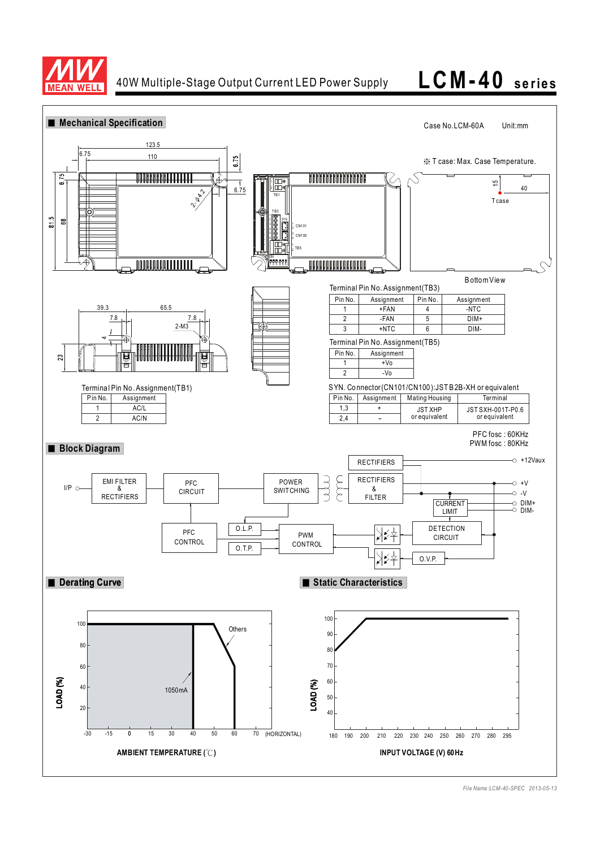

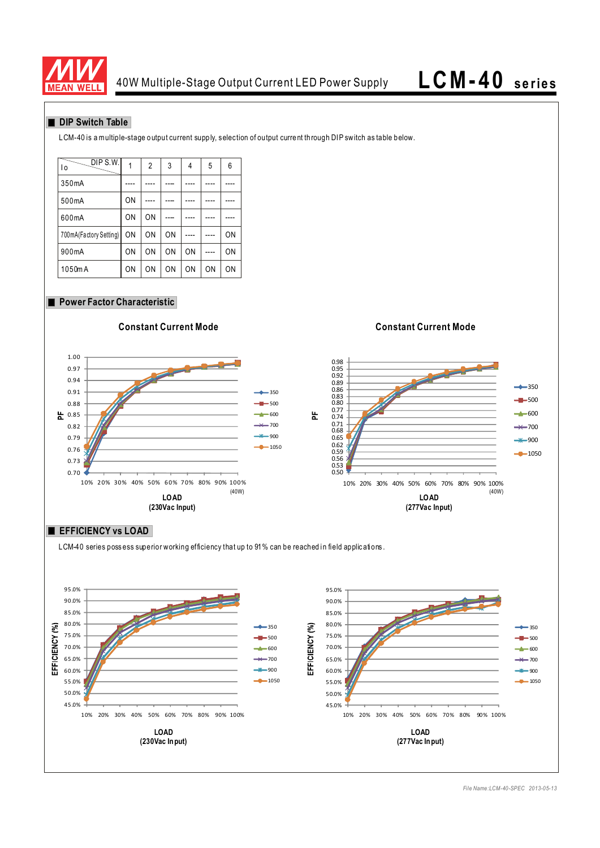

### **DIP Switch Table**

LCM-40 is a multiple-stage output current supply, selection of output current through DIP switch as table below.

| DIP S.W.<br>١o         | 1              | 2              | 3  | 4  | 5  | 6  |
|------------------------|----------------|----------------|----|----|----|----|
| 350mA                  |                |                |    |    |    |    |
| 500mA                  | 0 <sub>N</sub> |                |    |    |    |    |
| 600mA                  | ON             | ON             |    |    |    |    |
| 700mA(Factory Setting) | 0 <sub>N</sub> | 0 <sub>N</sub> | ON |    |    | ON |
| 900mA                  | ON             | ON             | ON | OΝ |    | ON |
| 1050mA                 | 0 <sub>N</sub> | ON             | ON | ΟN | ΟN | ON |

### **Power Factor Characteristic**



### **Constant Current Mode Constant Current Mode**



### **EFFICIENCY vs LOAD**

LCM-40 series possess superior working efficiency that up to 91% can be reached in field applications.

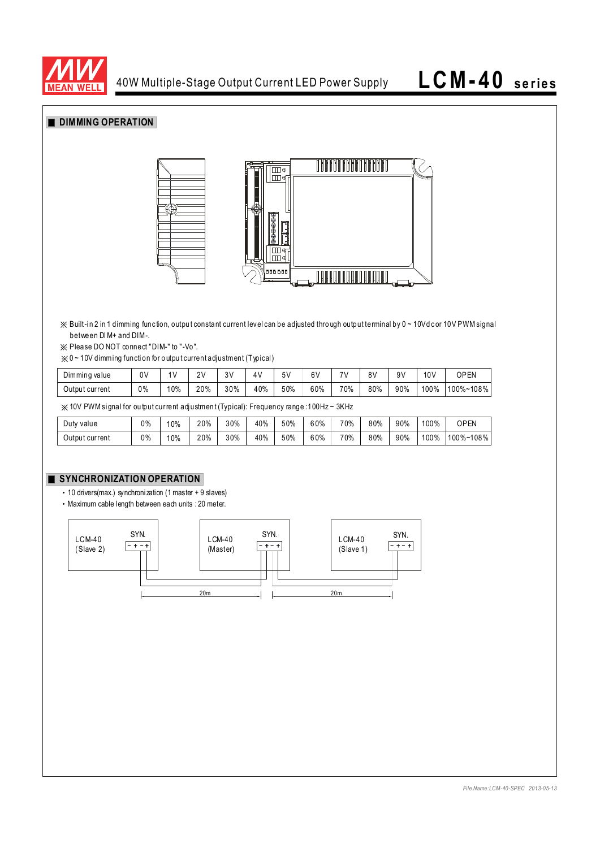

## **DIMMING OPERATION**





※ Built-in 2 in 1 dimming function, output constant current level can be adjusted thro ugh output terminal by 0 ~ 10Vd cor 10V PWM signal between DI M+ and DIM-.

※ Please DO NOT connect "DIM-" to "-Vo".

 $\rm \gg 0$  ~ 10V dimming function for output current adjustment (Typical)

| - -<br>Dimming value | $\cap \cup$ |     | 2V        | 3١  | Δ١  | 5 V | 6٧  | 7١. | 8 V | Q <sub>1</sub><br>ີ | 10V  | <b>OPEN</b> |
|----------------------|-------------|-----|-----------|-----|-----|-----|-----|-----|-----|---------------------|------|-------------|
| Output current       | 0%          | 10% | ?ዐ%<br>2U | 30% | 40% | 50% | 60% | 70% | 80% | 90%                 | 100% | 100%~108%   |

 $\%$  10V PWM signal for ou  $\mathfrak b$ ut current adjustment (Typical): Frequency range :100Hz ~ 3KHz

| Duty value     | 0% | 10% | 20% | 30% | 40% | 50% | 60% | 70% | 80% | 90% | 100% | <b>OPEN</b> |
|----------------|----|-----|-----|-----|-----|-----|-----|-----|-----|-----|------|-------------|
| Output current | 0% | 10% | 20% | 30% | 40% | 50% | 60% | 70% | 80% | 90% | 100% | 100%~108%   |

# **SYNCHRONIZATION OPERATION**

- $\cdot$  10 drivers(max.) synchronization (1 master + 9 slaves)
- ‧Maximum cable length between each units : 20 meter.